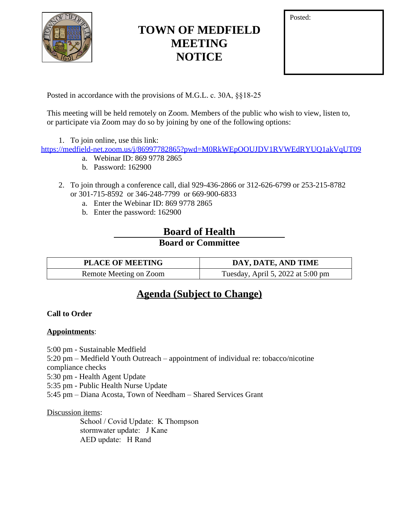

# **TOWN OF MEDFIELD MEETING NOTICE**

| Posted: |  |  |
|---------|--|--|
|         |  |  |
|         |  |  |
|         |  |  |

Posted in accordance with the provisions of M.G.L. c. 30A, §§18-25

This meeting will be held remotely on Zoom. Members of the public who wish to view, listen to, or participate via Zoom may do so by joining by one of the following options:

1. To join online, use this link:

<https://medfield-net.zoom.us/j/86997782865?pwd=M0RkWEpOOUJDV1RVWEdRYUQ1akVqUT09>

- a. Webinar ID: 869 9778 2865
- b. Password: 162900
- 2. To join through a conference call, dial 929-436-2866 or 312-626-6799 or 253-215-8782 or 301-715-8592 or 346-248-7799 or 669-900-6833
	- a. Enter the Webinar ID: 869 9778 2865
	- b. Enter the password: 162900

### **Board of Health Board or Committee**

| <b>PLACE OF MEETING</b> | DAY, DATE, AND TIME               |
|-------------------------|-----------------------------------|
| Remote Meeting on Zoom  | Tuesday, April 5, 2022 at 5:00 pm |

## **Agenda (Subject to Change)**

#### **Call to Order**

#### **Appointments**:

5:00 pm - Sustainable Medfield

5:20 pm – Medfield Youth Outreach – appointment of individual re: tobacco/nicotine compliance checks

5:30 pm - Health Agent Update

5:35 pm - Public Health Nurse Update

5:45 pm – Diana Acosta, Town of Needham – Shared Services Grant

#### Discussion items:

 School / Covid Update: K Thompson stormwater update: J Kane AED update: H Rand